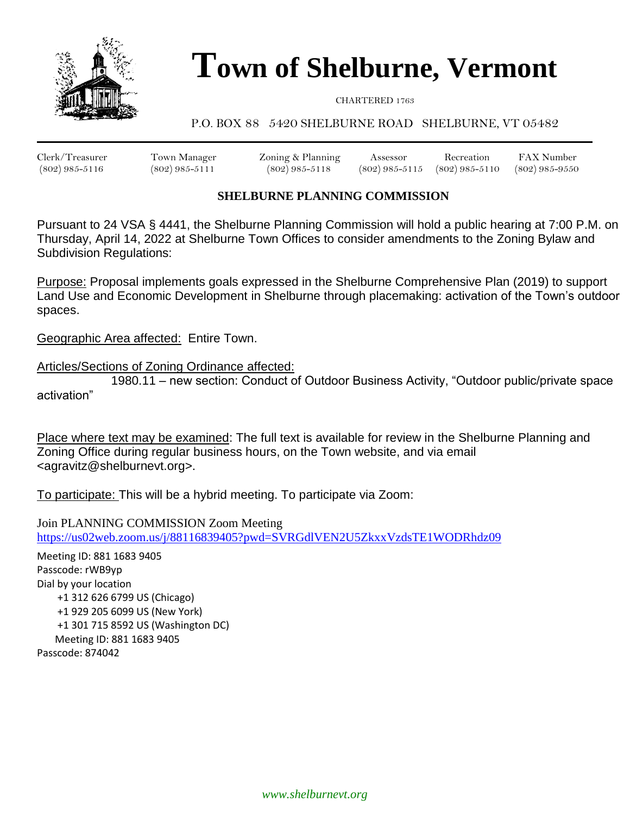

# **Town of Shelburne, Vermont**

CHARTERED 1763

## P.O. BOX 88 5420 SHELBURNE ROAD SHELBURNE, VT 05482

Clerk/Treasurer Town Manager Zoning & Planning Assessor Recreation FAX Number (802) 985-5116 (802) 985-5111 (802) 985-5118 (802) 985-5115 (802) 985-5110 (802) 985-9550

## **SHELBURNE PLANNING COMMISSION**

Pursuant to 24 VSA § 4441, the Shelburne Planning Commission will hold a public hearing at 7:00 P.M. on Thursday, April 14, 2022 at Shelburne Town Offices to consider amendments to the Zoning Bylaw and Subdivision Regulations:

Purpose: Proposal implements goals expressed in the Shelburne Comprehensive Plan (2019) to support Land Use and Economic Development in Shelburne through placemaking: activation of the Town's outdoor spaces.

Geographic Area affected: Entire Town.

Articles/Sections of Zoning Ordinance affected:

1980.11 – new section: Conduct of Outdoor Business Activity, "Outdoor public/private space activation"

Place where text may be examined: The full text is available for review in the Shelburne Planning and Zoning Office during regular business hours, on the Town website, and via email <agravitz@shelburnevt.org>.

To participate: This will be a hybrid meeting. To participate via Zoom:

Join PLANNING COMMISSION Zoom Meeting <https://us02web.zoom.us/j/88116839405?pwd=SVRGdlVEN2U5ZkxxVzdsTE1WODRhdz09>

Meeting ID: 881 1683 9405 Passcode: rWB9yp Dial by your location +1 312 626 6799 US (Chicago) +1 929 205 6099 US (New York) +1 301 715 8592 US (Washington DC) Meeting ID: 881 1683 9405 Passcode: 874042

*www.shelburnevt.org*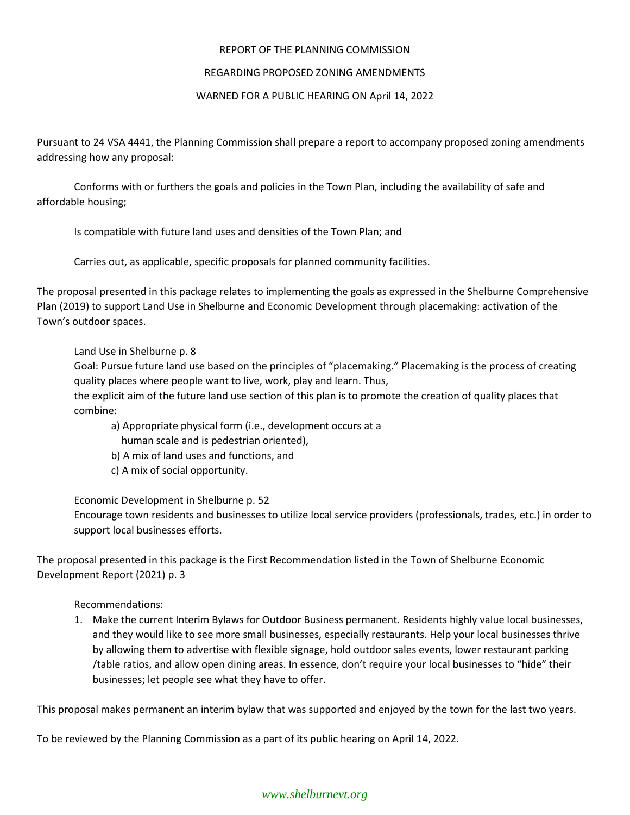## REPORT OF THE PLANNING COMMISSION

### REGARDING PROPOSED ZONING AMENDMENTS

## WARNED FOR A PUBLIC HEARING ON April 14, 2022

Pursuant to 24 VSA 4441, the Planning Commission shall prepare a report to accompany proposed zoning amendments addressing how any proposal:

Conforms with or furthers the goals and policies in the Town Plan, including the availability of safe and affordable housing;

Is compatible with future land uses and densities of the Town Plan; and

Carries out, as applicable, specific proposals for planned community facilities.

The proposal presented in this package relates to implementing the goals as expressed in the Shelburne Comprehensive Plan (2019) to support Land Use in Shelburne and Economic Development through placemaking: activation of the Town's outdoor spaces.

Land Use in Shelburne p. 8

Goal: Pursue future land use based on the principles of "placemaking." Placemaking is the process of creating quality places where people want to live, work, play and learn. Thus,

the explicit aim of the future land use section of this plan is to promote the creation of quality places that combine:

a) Appropriate physical form (i.e., development occurs at a

human scale and is pedestrian oriented),

- b) A mix of land uses and functions, and
- c) A mix of social opportunity.

Economic Development in Shelburne p. 52

Encourage town residents and businesses to utilize local service providers (professionals, trades, etc.) in order to support local businesses efforts.

The proposal presented in this package is the First Recommendation listed in the Town of Shelburne Economic Development Report (2021) p. 3

Recommendations:

1. Make the current Interim Bylaws for Outdoor Business permanent. Residents highly value local businesses, and they would like to see more small businesses, especially restaurants. Help your local businesses thrive by allowing them to advertise with flexible signage, hold outdoor sales events, lower restaurant parking /table ratios, and allow open dining areas. In essence, don't require your local businesses to "hide" their businesses; let people see what they have to offer.

This proposal makes permanent an interim bylaw that was supported and enjoyed by the town for the last two years.

To be reviewed by the Planning Commission as a part of its public hearing on April 14, 2022.

## *www.shelburnevt.org*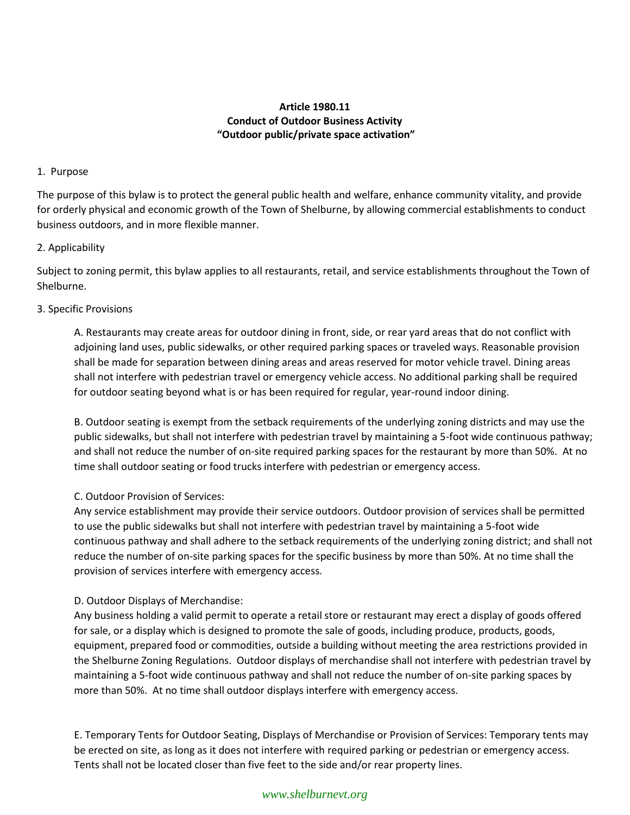## **Article 1980.11 Conduct of Outdoor Business Activity "Outdoor public/private space activation"**

## 1. Purpose

The purpose of this bylaw is to protect the general public health and welfare, enhance community vitality, and provide for orderly physical and economic growth of the Town of Shelburne, by allowing commercial establishments to conduct business outdoors, and in more flexible manner.

#### 2. Applicability

Subject to zoning permit, this bylaw applies to all restaurants, retail, and service establishments throughout the Town of Shelburne.

## 3. Specific Provisions

A. Restaurants may create areas for outdoor dining in front, side, or rear yard areas that do not conflict with adjoining land uses, public sidewalks, or other required parking spaces or traveled ways. Reasonable provision shall be made for separation between dining areas and areas reserved for motor vehicle travel. Dining areas shall not interfere with pedestrian travel or emergency vehicle access. No additional parking shall be required for outdoor seating beyond what is or has been required for regular, year-round indoor dining.

B. Outdoor seating is exempt from the setback requirements of the underlying zoning districts and may use the public sidewalks, but shall not interfere with pedestrian travel by maintaining a 5-foot wide continuous pathway; and shall not reduce the number of on-site required parking spaces for the restaurant by more than 50%. At no time shall outdoor seating or food trucks interfere with pedestrian or emergency access.

## C. Outdoor Provision of Services:

Any service establishment may provide their service outdoors. Outdoor provision of services shall be permitted to use the public sidewalks but shall not interfere with pedestrian travel by maintaining a 5-foot wide continuous pathway and shall adhere to the setback requirements of the underlying zoning district; and shall not reduce the number of on-site parking spaces for the specific business by more than 50%. At no time shall the provision of services interfere with emergency access.

## D. Outdoor Displays of Merchandise:

Any business holding a valid permit to operate a retail store or restaurant may erect a display of goods offered for sale, or a display which is designed to promote the sale of goods, including produce, products, goods, equipment, prepared food or commodities, outside a building without meeting the area restrictions provided in the Shelburne Zoning Regulations. Outdoor displays of merchandise shall not interfere with pedestrian travel by maintaining a 5-foot wide continuous pathway and shall not reduce the number of on-site parking spaces by more than 50%. At no time shall outdoor displays interfere with emergency access.

E. Temporary Tents for Outdoor Seating, Displays of Merchandise or Provision of Services: Temporary tents may be erected on site, as long as it does not interfere with required parking or pedestrian or emergency access. Tents shall not be located closer than five feet to the side and/or rear property lines.

## *www.shelburnevt.org*